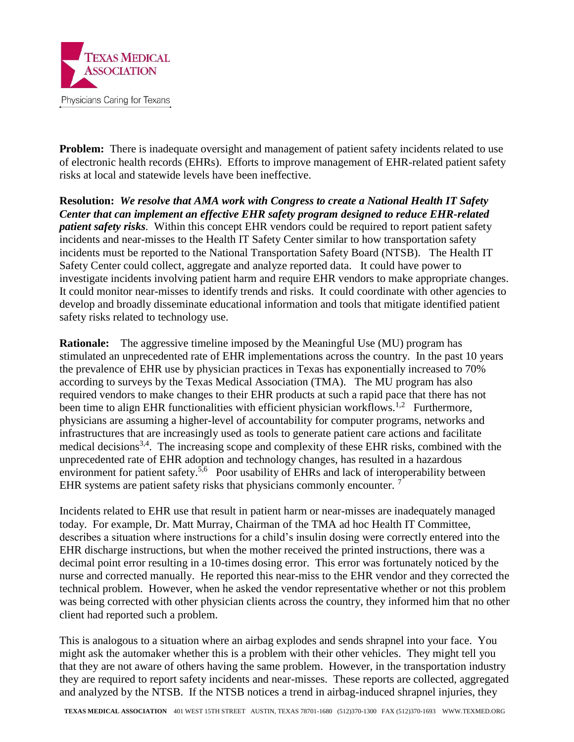

**Problem:** There is inadequate oversight and management of patient safety incidents related to use of electronic health records (EHRs). Efforts to improve management of EHR-related patient safety risks at local and statewide levels have been ineffective.

**Resolution:** *We resolve that AMA work with Congress to create a National Health IT Safety Center that can implement an effective EHR safety program designed to reduce EHR-related patient safety risks.* Within this concept EHR vendors could be required to report patient safety incidents and near-misses to the Health IT Safety Center similar to how transportation safety incidents must be reported to the National Transportation Safety Board (NTSB). The Health IT Safety Center could collect, aggregate and analyze reported data. It could have power to investigate incidents involving patient harm and require EHR vendors to make appropriate changes. It could monitor near-misses to identify trends and risks. It could coordinate with other agencies to develop and broadly disseminate educational information and tools that mitigate identified patient safety risks related to technology use.

**Rationale:** The aggressive timeline imposed by the Meaningful Use (MU) program has stimulated an unprecedented rate of EHR implementations across the country. In the past 10 years the prevalence of EHR use by physician practices in Texas has exponentially increased to 70% according to surveys by the Texas Medical Association (TMA). The MU program has also required vendors to make changes to their EHR products at such a rapid pace that there has not been time to align EHR functionalities with efficient physician workflows.<sup>1,2</sup> Furthermore, physicians are assuming a higher-level of accountability for computer programs, networks and infrastructures that are increasingly used as tools to generate patient care actions and facilitate medical decisions<sup>3,4</sup>. The increasing scope and complexity of these EHR risks, combined with the unprecedented rate of EHR adoption and technology changes, has resulted in a hazardous environment for patient safety.<sup>5,6</sup> Poor usability of EHRs and lack of interoperability between EHR systems are patient safety risks that physicians commonly encounter.  $<sup>7</sup>$ </sup>

Incidents related to EHR use that result in patient harm or near-misses are inadequately managed today. For example, Dr. Matt Murray, Chairman of the TMA ad hoc Health IT Committee, describes a situation where instructions for a child's insulin dosing were correctly entered into the EHR discharge instructions, but when the mother received the printed instructions, there was a decimal point error resulting in a 10-times dosing error. This error was fortunately noticed by the nurse and corrected manually. He reported this near-miss to the EHR vendor and they corrected the technical problem. However, when he asked the vendor representative whether or not this problem was being corrected with other physician clients across the country, they informed him that no other client had reported such a problem.

This is analogous to a situation where an airbag explodes and sends shrapnel into your face. You might ask the automaker whether this is a problem with their other vehicles. They might tell you that they are not aware of others having the same problem. However, in the transportation industry they are required to report safety incidents and near-misses. These reports are collected, aggregated and analyzed by the NTSB. If the NTSB notices a trend in airbag-induced shrapnel injuries, they